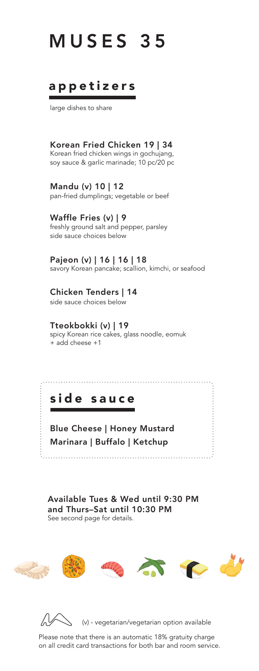# MUSES 35

### appetizers

large dishes to share

Korean Fried Chicken 19 | 34 Korean fried chicken wings in gochujang, soy sauce & garlic marinade; 10 pc/20 pc

Mandu (v) 10 | 12 pan-fried dumplings; vegetable or beef

Waffle Fries (v) | 9 freshly ground salt and pepper, parsley side sauce choices below

Pajeon (v) | 16 | 16 | 18 savory Korean pancake; scallion, kimchi, or seafood

Chicken Tenders | 14 side sauce choices below

Tteokbokki (v) | 19

spicy Korean rice cakes, glass noodle, eomuk + add cheese +1

### side sauce

Blue Cheese | Honey Mustard Marinara | Buffalo | Ketchup

Available Tues & Wed until 9:30 PM and Thurs–Sat until 10:30 PM See second page for details.





Please note that there is an automatic 18% gratuity charge on all credit card transactions for both bar and room service.